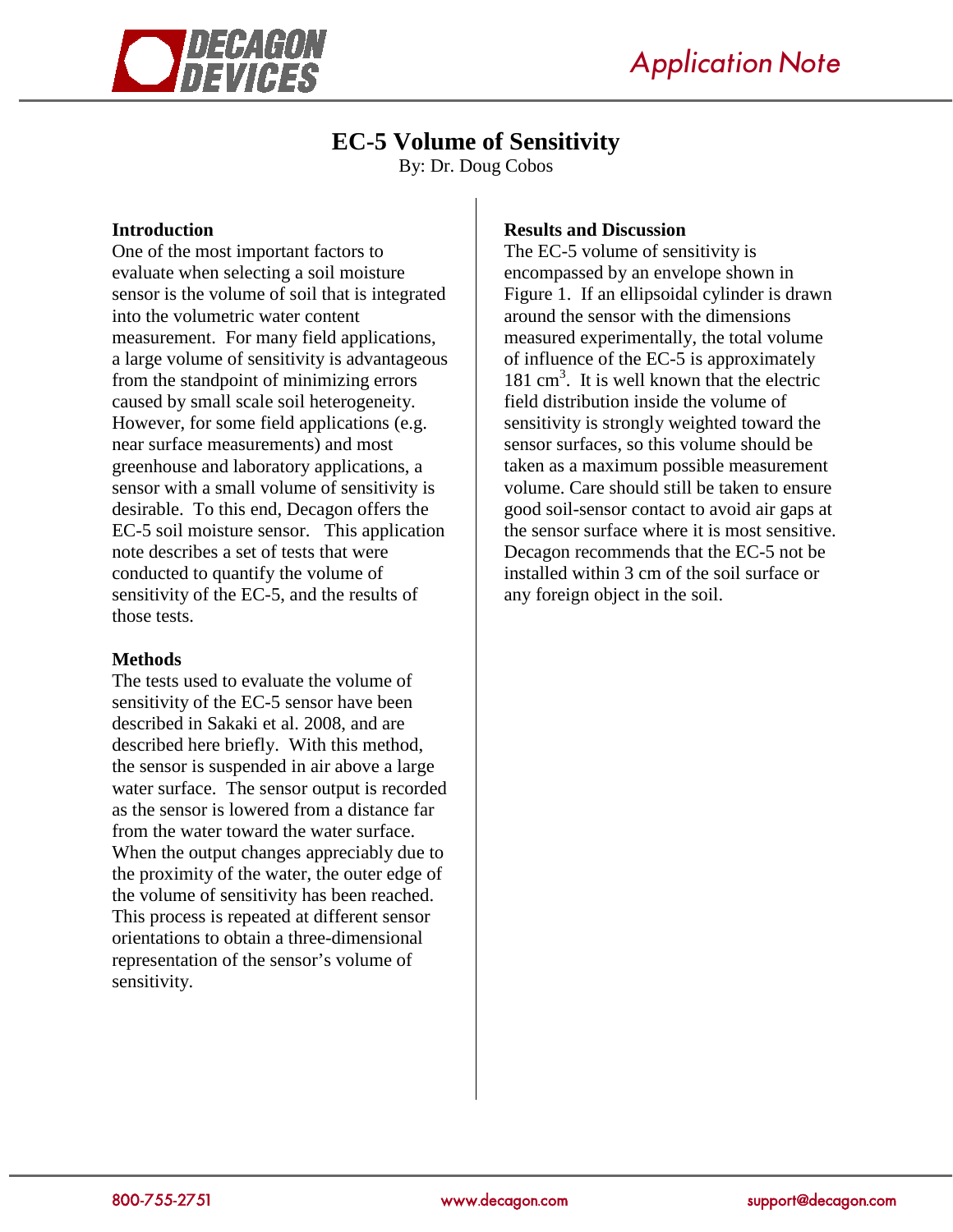

# **EC-5 Volume of Sensitivity**

By: Dr. Doug Cobos

### **Introduction**

One of the most important factors to evaluate when selecting a soil moisture sensor is the volume of soil that is integrated into the volumetric water content measurement. For many field applications, a large volume of sensitivity is advantageous from the standpoint of minimizing errors caused by small scale soil heterogeneity. However, for some field applications (e.g. near surface measurements) and most greenhouse and laboratory applications, a sensor with a small volume of sensitivity is desirable. To this end, Decagon offers the EC-5 soil moisture sensor. This application note describes a set of tests that were conducted to quantify the volume of sensitivity of the EC-5, and the results of those tests.

#### **Methods**

The tests used to evaluate the volume of sensitivity of the EC-5 sensor have been described in Sakaki et al. 2008, and are described here briefly. With this method, the sensor is suspended in air above a large water surface. The sensor output is recorded as the sensor is lowered from a distance far from the water toward the water surface. When the output changes appreciably due to the proximity of the water, the outer edge of the volume of sensitivity has been reached. This process is repeated at different sensor orientations to obtain a three-dimensional representation of the sensor's volume of sensitivity.

## **Results and Discussion**

The EC-5 volume of sensitivity is encompassed by an envelope shown in Figure 1. If an ellipsoidal cylinder is drawn around the sensor with the dimensions measured experimentally, the total volume of influence of the EC-5 is approximately 181 cm<sup>3</sup>. It is well known that the electric field distribution inside the volume of sensitivity is strongly weighted toward the sensor surfaces, so this volume should be taken as a maximum possible measurement volume. Care should still be taken to ensure good soil-sensor contact to avoid air gaps at the sensor surface where it is most sensitive. Decagon recommends that the EC-5 not be installed within 3 cm of the soil surface or any foreign object in the soil.